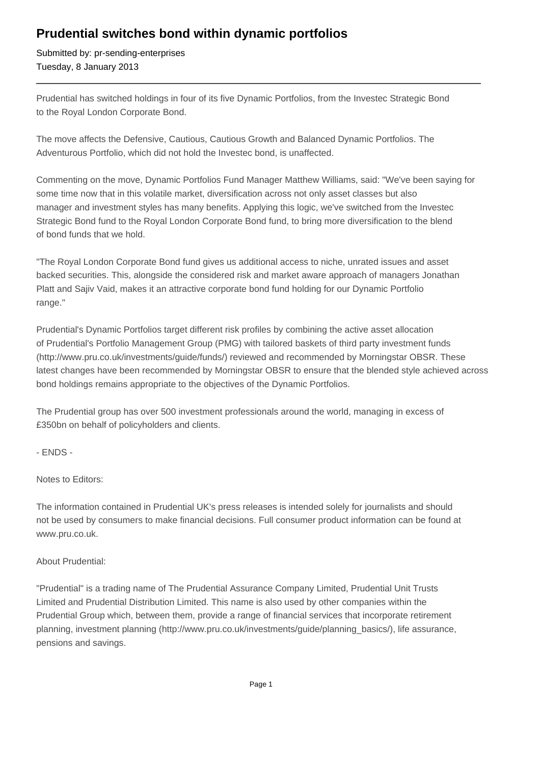## **Prudential switches bond within dynamic portfolios**

Submitted by: pr-sending-enterprises Tuesday, 8 January 2013

Prudential has switched holdings in four of its five Dynamic Portfolios, from the Investec Strategic Bond to the Royal London Corporate Bond.

The move affects the Defensive, Cautious, Cautious Growth and Balanced Dynamic Portfolios. The Adventurous Portfolio, which did not hold the Investec bond, is unaffected.

Commenting on the move, Dynamic Portfolios Fund Manager Matthew Williams, said: "We've been saying for some time now that in this volatile market, diversification across not only asset classes but also manager and investment styles has many benefits. Applying this logic, we've switched from the Investec Strategic Bond fund to the Royal London Corporate Bond fund, to bring more diversification to the blend of bond funds that we hold.

"The Royal London Corporate Bond fund gives us additional access to niche, unrated issues and asset backed securities. This, alongside the considered risk and market aware approach of managers Jonathan Platt and Sajiv Vaid, makes it an attractive corporate bond fund holding for our Dynamic Portfolio range."

Prudential's Dynamic Portfolios target different risk profiles by combining the active asset allocation of Prudential's Portfolio Management Group (PMG) with tailored baskets of third party investment funds (http://www.pru.co.uk/investments/guide/funds/) reviewed and recommended by Morningstar OBSR. These latest changes have been recommended by Morningstar OBSR to ensure that the blended style achieved across bond holdings remains appropriate to the objectives of the Dynamic Portfolios.

The Prudential group has over 500 investment professionals around the world, managing in excess of £350bn on behalf of policyholders and clients.

- ENDS -

Notes to Editors:

The information contained in Prudential UK's press releases is intended solely for journalists and should not be used by consumers to make financial decisions. Full consumer product information can be found at www.pru.co.uk.

## About Prudential:

"Prudential" is a trading name of The Prudential Assurance Company Limited, Prudential Unit Trusts Limited and Prudential Distribution Limited. This name is also used by other companies within the Prudential Group which, between them, provide a range of financial services that incorporate retirement planning, investment planning (http://www.pru.co.uk/investments/guide/planning\_basics/), life assurance, pensions and savings.